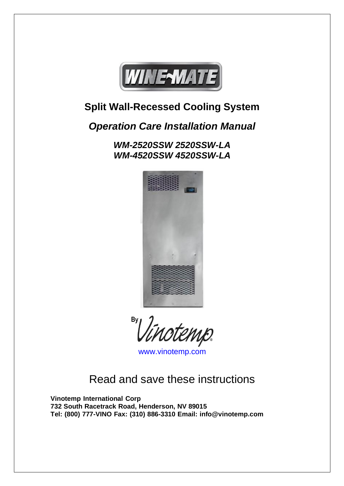

## **Split Wall-Recessed Cooling System**

## *Operation Care Installation Manual*

*WM-2520SSW 2520SSW-LA WM-4520SSW 4520SSW-LA*



 $\frac{By}{1}$ rtenip.

[www.vinotemp.com](http://www.vinotemp.com/)

Read and save these instructions

**Vinotemp International Corp 732 South Racetrack Road, Henderson, NV 89015 Tel: (800) 777-VINO Fax: (310) 886-3310 Email: [info@vinotemp.com](mailto:info@vinotemp.com)**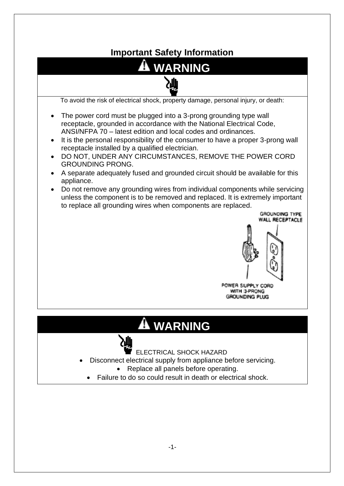## **Important Safety Information**



# $\mathbf{\mathbf{\mathbf{\mathsf{\mathbf{A}}}}}$  WARNING



ELECTRICAL SHOCK HAZARD

- Disconnect electrical supply from appliance before servicing.
	- Replace all panels before operating.
	- Failure to do so could result in death or electrical shock.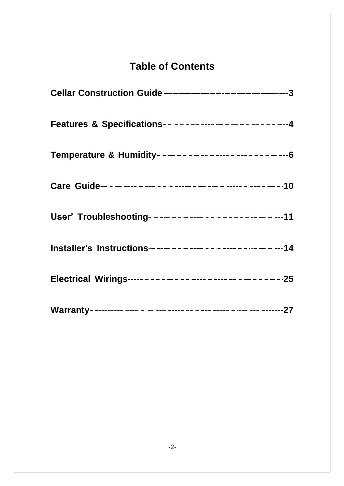## **Table of Contents**

| Features & Specifications------------------------   |  |
|-----------------------------------------------------|--|
| Temperature & Humidity------------------------      |  |
|                                                     |  |
| User' Troubleshooting----------------------------11 |  |
|                                                     |  |
|                                                     |  |
|                                                     |  |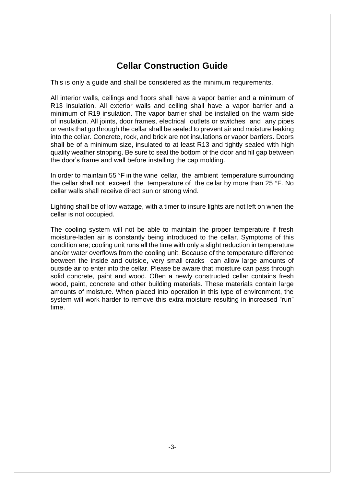### **Cellar Construction Guide**

This is only a guide and shall be considered as the minimum requirements.

All interior walls, ceilings and floors shall have a vapor barrier and a minimum of R13 insulation. All exterior walls and ceiling shall have a vapor barrier and a minimum of R19 insulation. The vapor barrier shall be installed on the warm side of insulation. All joints, door frames, electrical outlets or switches and any pipes or vents that go through the cellar shall be sealed to prevent air and moisture leaking into the cellar. Concrete, rock, and brick are not insulations or vapor barriers. Doors shall be of a minimum size, insulated to at least R13 and tightly sealed with high quality weather stripping. Be sure to seal the bottom of the door and fill gap between the door's frame and wall before installing the cap molding.

In order to maintain 55 °F in the wine cellar, the ambient temperature surrounding the cellar shall not exceed the temperature of the cellar by more than 25 °F. No cellar walls shall receive direct sun or strong wind.

Lighting shall be of low wattage, with a timer to insure lights are not left on when the cellar is not occupied.

The cooling system will not be able to maintain the proper temperature if fresh moisture-laden air is constantly being introduced to the cellar. Symptoms of this condition are; cooling unit runs all the time with only a slight reduction in temperature and/or water overflows from the cooling unit. Because of the temperature difference between the inside and outside, very small cracks can allow large amounts of outside air to enter into the cellar. Please be aware that moisture can pass through solid concrete, paint and wood. Often a newly constructed cellar contains fresh wood, paint, concrete and other building materials. These materials contain large amounts of moisture. When placed into operation in this type of environment, the system will work harder to remove this extra moisture resulting in increased "run" time.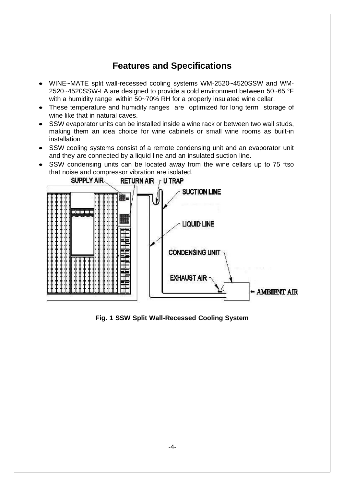### **Features and Specifications**

- WINE~MATE split wall-recessed cooling systems WM-2520~4520SSW and WM-2520~4520SSW-LA are designed to provide a cold environment between 50~65 °F with a humidity range within 50~70% RH for a properly insulated wine cellar.
- These temperature and humidity ranges are optimized for long term storage of wine like that in natural caves.
- SSW evaporator units can be installed inside a wine rack or between two wall studs, making them an idea choice for wine cabinets or small wine rooms as built-in installation
- SSW cooling systems consist of a remote condensing unit and an evaporator unit and they are connected by a liquid line and an insulated suction line.
- SSW condensing units can be located away from the wine cellars up to 75 ftso that noise and compressor vibration are isolated.



**Fig. 1 SSW Split Wall-Recessed Cooling System**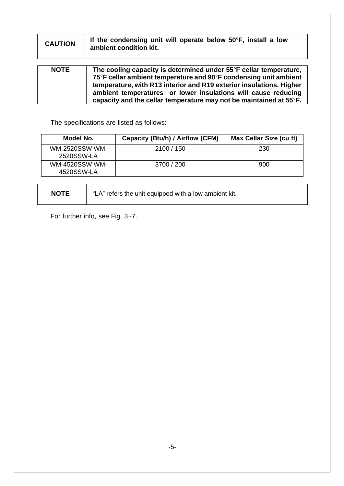| <b>CAUTION</b> | If the condensing unit will operate below 50°F, install a low<br>ambient condition kit.                                                                                                                                                                                                                                                             |
|----------------|-----------------------------------------------------------------------------------------------------------------------------------------------------------------------------------------------------------------------------------------------------------------------------------------------------------------------------------------------------|
| <b>NOTE</b>    | The cooling capacity is determined under 55°F cellar temperature,<br>75°F cellar ambient temperature and 90°F condensing unit ambient<br>temperature, with R13 interior and R19 exterior insulations. Higher<br>ambient temperatures or lower insulations will cause reducing<br>capacity and the cellar temperature may not be maintained at 55°F. |

The specifications are listed as follows:

| Model No.                           | Capacity (Btu/h) / Airflow (CFM) | Max Cellar Size (cu ft) |
|-------------------------------------|----------------------------------|-------------------------|
| <b>WM-2520SSW WM-</b><br>2520SSW-LA | 2100 / 150                       | 230                     |
| <b>WM-4520SSW WM-</b><br>4520SSW-LA | 3700 / 200                       | 900                     |

**NOTE** "LA" refers the unit equipped with a low ambient kit.

For further info, see Fig. 3~7.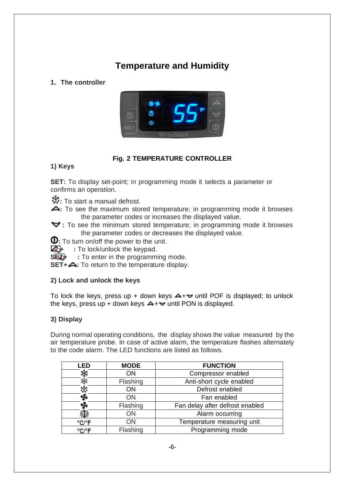## **Temperature and Humidity**

#### **1. The controller**



#### **Fig. 2 TEMPERATURE CONTROLLER**

#### **1) Keys**

**SET:** To display set-point; in programming mode it selects a parameter or confirms an operation.

- **\*\***: To start a manual defrost.
- **4:** To see the maximum stored temperature; in programming mode it browses the parameter codes or increases the displayed value.
- **:** To see the minimum stored temperature; in programming mode it browses the parameter codes or decreases the displayed value.
- **0**: To turn on/off the power to the unit.
- **4** : To lock/unlock the keypad.
- **SET+ :** To enter in the programming mode.

**SET+**  $\triangle$ **: To return to the temperature display.** 

#### **2) Lock and unlock the keys**

To lock the keys, press up + down keys  $\triangle + \triangledown$  until POF is displayed; to unlock the keys, press up + down keys  $\blacktriangle + \blacktriangledown$  until PON is displayed.

#### **3) Display**

During normal operating conditions, the display shows the value measured by the air temperature probe. In case of active alarm, the temperature flashes alternately to the code alarm. The LED functions are listed as follows.

| <b>LED</b> | <b>MODE</b> | <b>FUNCTION</b>                 |
|------------|-------------|---------------------------------|
|            | <b>ON</b>   | Compressor enabled              |
|            | Flashing    | Anti-short cycle enabled        |
| ж,         | <b>ON</b>   | Defrost enabled                 |
|            | <b>ON</b>   | Fan enabled                     |
|            | Flashing    | Fan delay after defrost enabled |
| O          | <b>ON</b>   | Alarm occurring                 |
| °C/°F      | ON          | Temperature measuring unit      |
| °C/°F      | Flashing    | Programming mode                |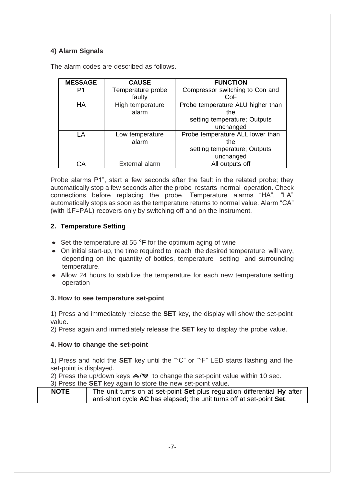#### **4) Alarm Signals**

| <b>MESSAGE</b> | <b>CAUSE</b>      | <b>FUNCTION</b>                   |
|----------------|-------------------|-----------------------------------|
| P1             | Temperature probe | Compressor switching to Con and   |
|                | faulty            | CoF                               |
| HA             | High temperature  | Probe temperature ALU higher than |
|                | alarm             | the                               |
|                |                   | setting temperature; Outputs      |
|                |                   | unchanged                         |
| LA             | Low temperature   | Probe temperature ALL lower than  |
|                | alarm             | the                               |
|                |                   | setting temperature; Outputs      |
|                |                   | unchanged                         |
| ``A            | External alarm    | All outputs off                   |

The alarm codes are described as follows.

Probe alarms P1", start a few seconds after the fault in the related probe; they automatically stop a few seconds after the probe restarts normal operation. Check connections before replacing the probe. Temperature alarms "HA", "LA" automatically stops as soon as the temperature returns to normal value. Alarm "CA" (with i1F=PAL) recovers only by switching off and on the instrument.

#### **2. Temperature Setting**

- Set the temperature at 55 °F for the optimum aging of wine
- On initial start-up, the time required to reach the desired temperature will vary. depending on the quantity of bottles, temperature setting and surrounding temperature.
- Allow 24 hours to stabilize the temperature for each new temperature setting operation

#### **3. How to see temperature set-point**

1) Press and immediately release the **SET** key, the display will show the set-point value.

2) Press again and immediately release the **SET** key to display the probe value.

#### **4. How to change the set-point**

1) Press and hold the **SET** key until the "°C" or "°F" LED starts flashing and the set-point is displayed.

2) Press the up/down keys  $\triangle$ / $\triangledown$  to change the set-point value within 10 sec.

3) Press the **SET** key again to store the new set-point value.

| <b>NOTE</b> | The unit turns on at set-point Set plus regulation differential Hy after |
|-------------|--------------------------------------------------------------------------|
|             | anti-short cycle AC has elapsed; the unit turns off at set-point Set.    |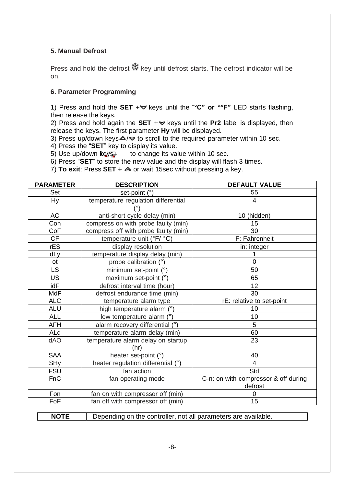#### **5. Manual Defrost**

Press and hold the defrost  $\ddot{\ddot{\mathbf{x}}}$  key until defrost starts. The defrost indicator will be on.

#### **6. Parameter Programming**

1) Press and hold the **SET**  $+\blacktriangledown$  keys until the "°C" or "°F" LED starts flashing, then release the keys.

2) Press and hold again the **SET**  $+$   $\blacktriangleright$  keys until the **Pr2** label is displayed, then release the keys. The first parameter **Hy** will be displayed.

3) Press up/down keys  $\blacktriangle / \blacktriangledown$  to scroll to the required parameter within 10 sec.

4) Press the "**SET**" key to display its value.

5) Use up/down  $\sqrt{k}$  to change its value within 10 sec.

6) Press "**SET**" to store the new value and the display will flash 3 times.

7) **To exit:** Press **SET +**  $\triangle$  or wait 15sec without pressing a key.

| <b>PARAMETER</b> | <b>DESCRIPTION</b>                         | <b>DEFAULT VALUE</b>                            |
|------------------|--------------------------------------------|-------------------------------------------------|
| Set              | set-point (°)                              | 55                                              |
| <b>Hy</b>        | temperature regulation differential        | 4                                               |
| <b>AC</b>        | anti-short cycle delay (min)               | 10 (hidden)                                     |
| Con              | compress on with probe faulty (min)        | 15                                              |
| CoF              | compress off with probe faulty (min)       | 30                                              |
| <b>CF</b>        | temperature unit (°F/ °C)                  | F: Fahrenheit                                   |
| rES              | display resolution                         | in: integer                                     |
| dLy              | temperature display delay (min)            | 1                                               |
| ot               | probe calibration (°)                      | $\overline{0}$                                  |
| <b>LS</b>        | minimum set-point (°)                      | 50                                              |
| <b>US</b>        | maximum set-point (°)                      | 65                                              |
| idF              | defrost interval time (hour)               | 12                                              |
| MdF              | defrost endurance time (min)               | 30                                              |
| <b>ALC</b>       | temperature alarm type                     | rE: relative to set-point                       |
| <b>ALU</b>       | high temperature alarm (°)                 | 10                                              |
| <b>ALL</b>       | low temperature alarm (°)                  | 10                                              |
| <b>AFH</b>       | alarm recovery differential (°)            | 5                                               |
| ALd              | temperature alarm delay (min)              | 60                                              |
| dAO              | temperature alarm delay on startup<br>(hr) | 23                                              |
| <b>SAA</b>       | heater set-point (°)                       | 40                                              |
| <b>SHy</b>       | heater regulation differential (°)         | $\overline{4}$                                  |
| <b>FSU</b>       | fan action                                 | Std                                             |
| FnC              | fan operating mode                         | C-n: on with compressor & off during<br>defrost |
| Fon              | fan on with compressor off (min)           | 0                                               |
| FoF              | fan off with compressor off (min)          | 15                                              |

**NOTE** Depending on the controller, not all parameters are available.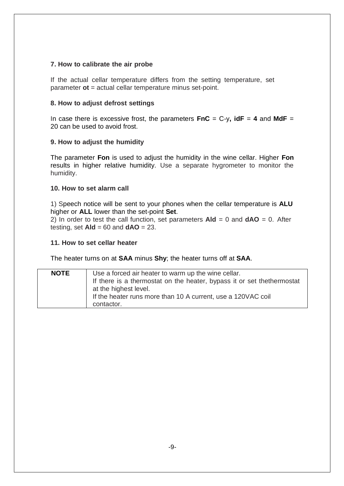#### **7. How to calibrate the air probe**

If the actual cellar temperature differs from the setting temperature, set parameter **ot** = actual cellar temperature minus set-point.

#### **8. How to adjust defrost settings**

In case there is excessive frost, the parameters  $\mathbf{FnC} = C-y$ ,  $\mathbf{idF} = 4$  and  $\mathbf{MdF} =$ 20 can be used to avoid frost.

#### **9. How to adjust the humidity**

The parameter **Fon** is used to adjust the humidity in the wine cellar. Higher **Fon** results in higher relative humidity. Use a separate hygrometer to monitor the humidity.

#### **10. How to set alarm call**

1) Speech notice will be sent to your phones when the cellar temperature is **ALU** higher or **ALL** lower than the set-point **Set**.

2) In order to test the call function, set parameters  $A \cdot d = 0$  and  $dA = 0$ . After testing, set  $\mathbf{A}\mathbf{Id} = 60$  and  $\mathbf{d}\mathbf{AO} = 23$ .

#### **11. How to set cellar heater**

The heater turns on at **SAA** minus **Shy**; the heater turns off at **SAA**.

| <b>NOTE</b> | Use a forced air heater to warm up the wine cellar.<br>If there is a thermostat on the heater, bypass it or set thethermostat<br>at the highest level.<br>If the heater runs more than 10 A current, use a 120VAC coil |
|-------------|------------------------------------------------------------------------------------------------------------------------------------------------------------------------------------------------------------------------|
|             | contactor.                                                                                                                                                                                                             |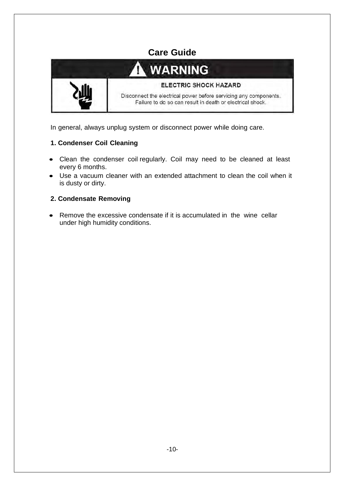

In general, always unplug system or disconnect power while doing care.

#### **1. Condenser Coil Cleaning**

- Clean the condenser coil regularly. Coil may need to be cleaned at least every 6 months.
- Use a vacuum cleaner with an extended attachment to clean the coil when it is dusty or dirty.

#### **2. Condensate Removing**

• Remove the excessive condensate if it is accumulated in the wine cellar under high humidity conditions.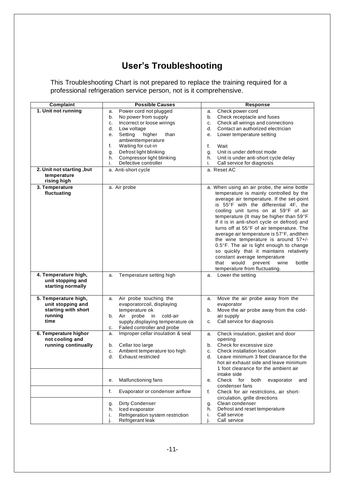## **User's Troubleshooting**

This Troubleshooting Chart is not prepared to replace the training required for a professional refrigeration service person, not is it comprehensive.

| Complaint                                                                           | <b>Possible Causes</b>                                                                                                                                                                                                                                                                                    | Response                                                                                                                                                                                                                                                                                                                                                                                                                                                                                                                                                                                                                                               |
|-------------------------------------------------------------------------------------|-----------------------------------------------------------------------------------------------------------------------------------------------------------------------------------------------------------------------------------------------------------------------------------------------------------|--------------------------------------------------------------------------------------------------------------------------------------------------------------------------------------------------------------------------------------------------------------------------------------------------------------------------------------------------------------------------------------------------------------------------------------------------------------------------------------------------------------------------------------------------------------------------------------------------------------------------------------------------------|
| 1. Unit not running                                                                 | Power cord not plugged<br>a.<br>No power from supply<br>b.<br>Incorrect or loose wirings<br>c.<br>d.<br>Low voltage<br>Setting<br>higher<br>than<br>е.<br>ambienttemperature<br>Waiting for cut-in<br>f.<br>Defrost light blinking<br>g.<br>Compressor light blinking<br>h.<br>Defective controller<br>i. | Check power cord<br>a.<br>Check receptacle and fuses<br>b.<br>Check all wirings and connections<br>c.<br>Contact an authorized electrician<br>d.<br>Lower temperature setting<br>е.<br>f.<br>Wait<br>Unit is under defrost mode<br>g.<br>Unit is under anti-short cycle delay<br>h.<br>Call service for diagnosis<br>i.                                                                                                                                                                                                                                                                                                                                |
| 2. Unit not starting, but<br>temperature<br>rising high                             | a. Anti-short cycle                                                                                                                                                                                                                                                                                       | a. Reset AC                                                                                                                                                                                                                                                                                                                                                                                                                                                                                                                                                                                                                                            |
| 3. Temperature<br>fluctuating                                                       | a. Air probe                                                                                                                                                                                                                                                                                              | a. When using an air probe, the wine bottle<br>temperature is mainly controlled by the<br>average air temperature. If the set-point<br>is 55°F with the differential 4F, the<br>cooling unit turns on at 59°F of air<br>temperature (It may be higher than 59°F<br>if it is in anti-short cycle or defrost) and<br>turns off at 55°F of air temperature. The<br>average air temperature is 57°F, andthen<br>the wine temperature is around 57+/-<br>0.5°F. The air is light enough to change<br>so quickly that it maintains relatively<br>constant average temperature<br>prevent<br>that<br>would<br>wine<br>bottle<br>temperature from fluctuating. |
| 4. Temperature high,<br>unit stopping and<br>starting normally                      | Temperature setting high<br>a.                                                                                                                                                                                                                                                                            | Lower the setting<br>a.                                                                                                                                                                                                                                                                                                                                                                                                                                                                                                                                                                                                                                |
| 5. Temperature high,<br>unit stopping and<br>starting with short<br>running<br>time | Air probe touching the<br>a.<br>evaporatorcoil, displaying<br>temperature ok<br>Air probe<br>cold-air<br>in<br>b.<br>supply, displaying temperature ok<br>Failed controller and probe<br>c.                                                                                                               | Move the air probe away from the<br>a.<br>evaporator<br>Move the air probe away from the cold-<br>b.<br>air supply<br>Call service for diagnosis<br>c.                                                                                                                                                                                                                                                                                                                                                                                                                                                                                                 |
| 6. Temperature highor<br>not cooling and<br>running continually                     | Improper cellar insulation & seal<br>a.<br>Cellar too large<br>b.<br>Ambient temperature too high<br>c.<br>d.<br><b>Exhaust restricted</b>                                                                                                                                                                | Check insulation, gasket and door<br>a.<br>opening<br>Check for excessive size<br>b.<br>Check installation location<br>c.<br>d.<br>Leave minimum 3 feet clearance for the<br>hot air exhaust side and leave minimum<br>1 foot clearance for the ambient air<br>intake side                                                                                                                                                                                                                                                                                                                                                                             |
|                                                                                     | Malfunctioning fans<br>е.                                                                                                                                                                                                                                                                                 | Check for<br>both<br>evaporator<br>and<br>е.<br>condenser fans                                                                                                                                                                                                                                                                                                                                                                                                                                                                                                                                                                                         |
|                                                                                     | Evaporator or condenser airflow<br>f.<br>Dirty Condenser<br>g.<br>Iced evaporator<br>h.<br>Refrigeration system restriction<br>i.<br>Refrigerant leak                                                                                                                                                     | Check for air restrictions, air short-<br>f.<br>circulation, grille directions<br>Clean condenser<br>g.<br>Defrost and reset temperature<br>h.<br>Call service<br>i.<br>Call service                                                                                                                                                                                                                                                                                                                                                                                                                                                                   |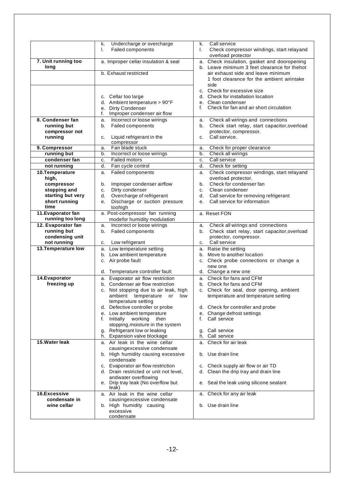|                     | Undercharge or overcharge<br>k.<br>Failed components<br>ı. | Call service<br>k.<br>Check compressor windings, start relayand<br>I.                       |
|---------------------|------------------------------------------------------------|---------------------------------------------------------------------------------------------|
|                     |                                                            | overload protector                                                                          |
| 7. Unit running too |                                                            |                                                                                             |
| long                | a. Improper cellar insulation & seal                       | a. Check insulation, gasket and dooropening<br>b. Leave minimum 3 feet clearance for thehot |
|                     | b. Exhaust restricted                                      |                                                                                             |
|                     |                                                            | air exhaust side and leave minimum                                                          |
|                     |                                                            | 1 foot clearance for the ambient airintake<br>side                                          |
|                     |                                                            | c. Check for excessive size                                                                 |
|                     |                                                            | d. Check for installation location                                                          |
|                     | c. Cellar too large<br>d. Ambient temperature > 90°F       | e. Clean condenser                                                                          |
|                     | Dirty Condenser                                            | Check for fan and air short circulation<br>f.                                               |
|                     | е.<br>Improper condenser air flow<br>f.                    |                                                                                             |
| 8. Condenser fan    | Incorrect or loose wirings                                 | Check all wirings and connections                                                           |
| running but         | a.<br>Failed components                                    | a.<br>Check start relay, start capacitor, overload<br>b.                                    |
| compressor not      | b.                                                         | protector, compressor.                                                                      |
| running             | Liquid refrigerant in the<br>c.                            | Call service.<br>c.                                                                         |
|                     | compressor                                                 |                                                                                             |
| 9. Compressor       | Fan blade stuck<br>a.                                      | Check for proper clearance<br>a.                                                            |
| running but         | Incorrect or loose wirings<br>b.                           | Check all wirings<br>b.                                                                     |
| condenser fan       | <b>Failed motors</b><br>c.                                 | Call service<br>c.                                                                          |
| not running         | Fan cycle control<br>d.                                    | Check for setting<br>d.                                                                     |
| 10.Temperature      | <b>Failed components</b><br>a.                             | Check compressor windings, start relayand<br>a.                                             |
| high,               |                                                            | overload protector.                                                                         |
| compressor          | Improper condenser airflow<br>b.                           | Check for condenser fan<br>b.                                                               |
| stopping and        | Dirty condenser<br>c.                                      | Clean condenser<br>c.                                                                       |
| starting but very   | Overcharge of refrigerant<br>d.                            | Call service for removing refrigerant<br>d.                                                 |
| short running       | Discharge or suction pressure<br>е.                        | Call service for information<br>e.                                                          |
| time                | toohigh                                                    |                                                                                             |
| 11. Evaporator fan  | a. Post-compressor fan running                             | a. Reset FON                                                                                |
| running too long    | modefor humidity modulation                                |                                                                                             |
| 12. Evaporator fan  | Incorrect or loose wirings<br>a.                           | Check all wirings and connections<br>a.                                                     |
| running but         | Failed components<br>b.                                    | Check start relay, start capacitor, overload<br>b.                                          |
| condensing unit     |                                                            | protector, compressor.                                                                      |
| not running         | Low refrigerant<br>c.                                      | Call service<br>c.                                                                          |
| 13. Temperature low | a. Low temperature setting                                 | a. Raise the setting                                                                        |
|                     | b. Low ambient temperature                                 | b. Move to another location                                                                 |
|                     | c. Air probe fault                                         | c. Check probe connections or change a                                                      |
|                     |                                                            | new one                                                                                     |
|                     | d. Temperature controller fault                            | d. Change a new one                                                                         |
| 14. Evaporator      | Evaporator air flow restriction<br>а.                      | a. Check for fans and CFM                                                                   |
| freezing up         | b. Condenser air flow restriction                          | b. Check for fans and CFM                                                                   |
|                     | c. Not stopping due to air leak, high                      | c. Check for seal, door opening, ambient                                                    |
|                     | ambient temperature or low<br>temperature setting          | temperature and temperature setting                                                         |
|                     | d. Defective controller or probe                           | d. Check for controller and probe                                                           |
|                     | e. Low ambient temperature                                 | e. Change defrost settings                                                                  |
|                     | f. Initially<br>working<br>then                            | Call service<br>f.                                                                          |
|                     | stopping, moisture in the system                           |                                                                                             |
|                     | g. Refrigerant low or leaking                              | Call service<br>g.                                                                          |
|                     | h. Expansion valve blockage                                | Call service<br>h.                                                                          |
| 15. Water leak      | a. Air leak in the wine cellar                             | a. Check for air leak                                                                       |
|                     | causingexcessive condensate                                |                                                                                             |
|                     | b. High humidity causing excessive                         | b. Use drain line                                                                           |
|                     | condensate                                                 |                                                                                             |
|                     | c. Evaporator air flow restriction                         | c. Check supply air flow or air TD                                                          |
|                     | d. Drain restricted or unit not level,                     | d. Clean the drip tray and drain line                                                       |
|                     | andwater overflowing                                       |                                                                                             |
|                     | e. Drip tray leak (No overflow but                         | e. Seal the leak using silicone sealant                                                     |
|                     | leak)                                                      |                                                                                             |
| 16.Excessive        | a. Air leak in the wine cellar                             | a. Check for any air leak                                                                   |
| condensate in       | causingexcessive condensate                                |                                                                                             |
| wine cellar         | b. High humidity causing                                   | b. Use drain line                                                                           |
|                     | excessive                                                  |                                                                                             |
|                     | condensate                                                 |                                                                                             |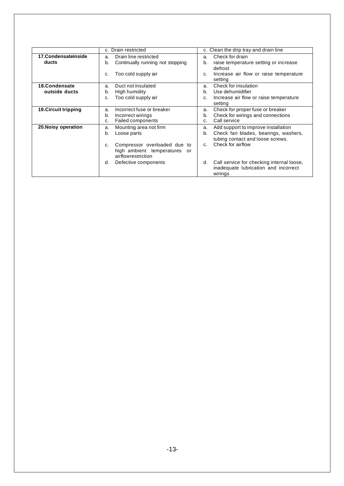|                             | c. Drain restricted                                                                      | c. Clean the drip tray and drain line                                                              |
|-----------------------------|------------------------------------------------------------------------------------------|----------------------------------------------------------------------------------------------------|
| 17. Condensate inside       | Drain line restricted<br>a.                                                              | Check for drain<br>a.                                                                              |
| ducts                       | Continually running not stopping<br>b.                                                   | raise temperature setting or increase<br>b.<br>defrost                                             |
|                             | Too cold supply air<br>c.                                                                | Increase air flow or raise temperature<br>c.<br>setting                                            |
| 18.Condensate               | Duct not insulated<br>a.                                                                 | Check for insulation<br>a.                                                                         |
| outside ducts               | High humidity<br>b.                                                                      | Use dehumidifier<br>b.                                                                             |
|                             | Too cold supply air<br>C.                                                                | Increase air flow or raise temperature<br>C.                                                       |
|                             |                                                                                          | setting                                                                                            |
| <b>19. Circuit tripping</b> | Incorrect fuse or breaker<br>a.                                                          | Check for proper fuse or breaker<br>a.                                                             |
|                             | Incorrect wirings<br>b.                                                                  | Check for wirings and connections<br>b.                                                            |
|                             | Failed components<br>C.                                                                  | Call service<br>$\mathsf{C}$                                                                       |
| 20. Noisy operation         | Mounting area not firm<br>a.                                                             | Add support to improve installation<br>a.                                                          |
|                             | Loose parts<br>b.                                                                        | Check fan blades, bearings, washers,<br>b.<br>tubing contact and loose screws.                     |
|                             | Compressor overloaded due to<br>C.<br>high ambient temperatures or<br>airflowrestriction | Check for airflow<br>$C_{r}$                                                                       |
|                             | Defective components<br>d.                                                               | Call service for checking internal loose,<br>d.<br>inadequate lubrication and incorrect<br>wirings |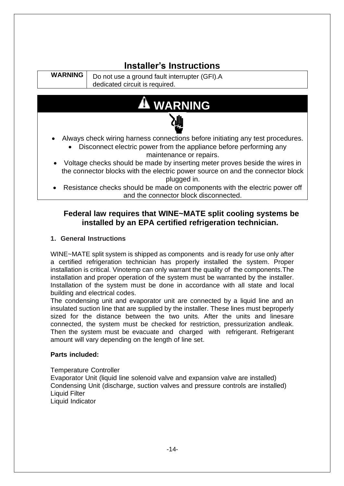## **Installer's Instructions**

**WARNING** Do not use a ground fault interrupter (GFI).A dedicated circuit is required.



- Always check wiring harness connections before initiating any test procedures.
	- Disconnect electric power from the appliance before performing any maintenance or repairs.
- Voltage checks should be made by inserting meter proves beside the wires in the connector blocks with the electric power source on and the connector block plugged in.
- Resistance checks should be made on components with the electric power off and the connector block disconnected.

#### **Federal law requires that WINE~MATE split cooling systems be installed by an EPA certified refrigeration technician.**

#### **1. General Instructions**

WINE~MATE split system is shipped as components and is ready for use only after a certified refrigeration technician has properly installed the system. Proper installation is critical. Vinotemp can only warrant the quality of the components.The installation and proper operation of the system must be warranted by the installer. Installation of the system must be done in accordance with all state and local building and electrical codes.

The condensing unit and evaporator unit are connected by a liquid line and an insulated suction line that are supplied by the installer. These lines must beproperly sized for the distance between the two units. After the units and linesare connected, the system must be checked for restriction, pressurization andleak. Then the system must be evacuate and charged with refrigerant. Refrigerant amount will vary depending on the length of line set.

#### **Parts included:**

Temperature Controller Evaporator Unit (liquid line solenoid valve and expansion valve are installed) Condensing Unit (discharge, suction valves and pressure controls are installed) Liquid Filter Liquid Indicator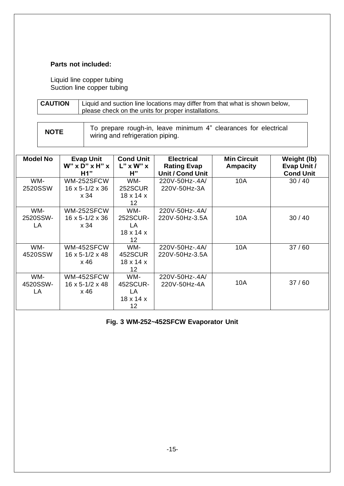#### **Parts not included:**

Liquid line copper tubing Suction line copper tubing

| <b>CAUTION</b> | Liquid and suction line locations may differ from that what is shown below,<br>please check on the units for proper installations. |
|----------------|------------------------------------------------------------------------------------------------------------------------------------|
|                |                                                                                                                                    |

| <b>NOTE</b> | To prepare rough-in, leave minimum 4" clearances for electrical |
|-------------|-----------------------------------------------------------------|
|             | wiring and refrigeration piping.                                |

| <b>Model No</b>       | <b>Evap Unit</b><br>$W''$ x D" x H" x<br>H1"        | <b>Cond Unit</b><br>$L''$ x W" x<br>Н"                            | <b>Electrical</b><br><b>Rating Evap</b><br><b>Unit / Cond Unit</b> | <b>Min Circuit</b><br><b>Ampacity</b> | Weight (lb)<br>Evap Unit /<br><b>Cond Unit</b> |
|-----------------------|-----------------------------------------------------|-------------------------------------------------------------------|--------------------------------------------------------------------|---------------------------------------|------------------------------------------------|
| WM-<br>2520SSW        | WM-252SFCW<br>$16 \times 5 - 1/2 \times 36$         | WM-<br>252SCUR                                                    | 220V-50Hz-.4A/<br>220V-50Hz-3A                                     | 10A                                   | 30/40                                          |
|                       | x 34                                                | $18 \times 14 \times$<br>12 <sub>2</sub>                          |                                                                    |                                       |                                                |
| WM-<br>2520SSW-<br>LA | WM-252SFCW<br>$16 \times 5 - 1/2 \times 36$<br>x 34 | WM-<br>252SCUR-<br>LA<br>$18 \times 14 \times$<br>12              | 220V-50Hz-.4A/<br>220V-50Hz-3.5A                                   | 10A                                   | 30/40                                          |
| WM-<br>4520SSW        | WM-452SFCW<br>$16 \times 5 - 1/2 \times 48$<br>x 46 | WM-<br>452SCUR<br>$18 \times 14 \times$<br>12 <sub>2</sub>        | 220V-50Hz-.4A/<br>220V-50Hz-3.5A                                   | 10A                                   | 37/60                                          |
| WM-<br>4520SSW-<br>LA | WM-452SFCW<br>$16 \times 5 - 1/2 \times 48$<br>x 46 | WM-<br>452SCUR-<br>LA<br>$18 \times 14 \times$<br>12 <sub>2</sub> | 220V-50Hz-.4A/<br>220V-50Hz-4A                                     | 10A                                   | 37/60                                          |

**Fig. 3 WM-252~452SFCW Evaporator Unit**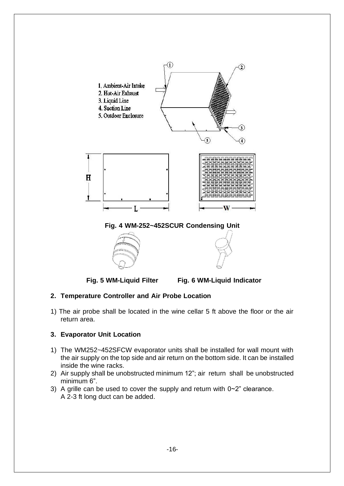



**Fig. 5 WM-Liquid Filter Fig. 6 WM-Liquid Indicator**

#### **2. Temperature Controller and Air Probe Location**

1) The air probe shall be located in the wine cellar 5 ft above the floor or the air return area.

#### **3. Evaporator Unit Location**

- 1) The WM252~452SFCW evaporator units shall be installed for wall mount with the air supply on the top side and air return on the bottom side. It can be installed inside the wine racks.
- 2) Air supply shall be unobstructed minimum 12"; air return shall be unobstructed minimum 6".
- 3) A grille can be used to cover the supply and return with 0~2" clearance. A 2-3 ft long duct can be added.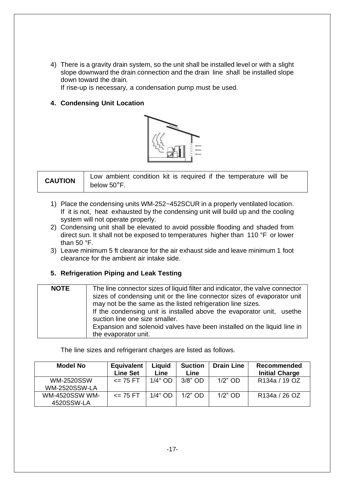4) There is a gravity drain system, so the unit shall be installed level or with a slight slope downward the drain connection and the drain line shall be installed slope down toward the drain.

If rise-up is necessary, a condensation pump must be used.

#### **4. Condensing Unit Location**



| <b>CAUTION</b> | Low ambient condition kit is required if the temperature will be |
|----------------|------------------------------------------------------------------|
|                | below $50^{\circ}$ F.                                            |

- 1) Place the condensing units WM-252~452SCUR in a properly ventilated location. If it is not, heat exhausted by the condensing unit will build up and the cooling system will not operate properly.
- 2) Condensing unit shall be elevated to avoid possible flooding and shaded from direct sun. It shall not be exposed to temperatures higher than 110 °F or lower than 50 °F.
- 3) Leave minimum 5 ft clearance for the air exhaust side and leave minimum 1 foot clearance for the ambient air intake side.

#### **5. Refrigeration Piping and Leak Testing**

| <b>NOTE</b> | The line connector sizes of liquid filter and indicator, the valve connector<br>sizes of condensing unit or the line connector sizes of evaporator unit<br>may not be the same as the listed refrigeration line sizes.<br>If the condensing unit is installed above the evaporator unit, usethe<br>suction line one size smaller.<br>Expansion and solenoid valves have been installed on the liquid line in<br>the evaporator unit. |
|-------------|--------------------------------------------------------------------------------------------------------------------------------------------------------------------------------------------------------------------------------------------------------------------------------------------------------------------------------------------------------------------------------------------------------------------------------------|
|-------------|--------------------------------------------------------------------------------------------------------------------------------------------------------------------------------------------------------------------------------------------------------------------------------------------------------------------------------------------------------------------------------------------------------------------------------------|

The line sizes and refrigerant charges are listed as follows.

| <b>Model No</b>                           | <b>Equivalent</b><br><b>Line Set</b> | Liquid<br>Line | <b>Suction</b><br>Line | <b>Drain Line</b> | <b>Recommended</b><br><b>Initial Charge</b> |
|-------------------------------------------|--------------------------------------|----------------|------------------------|-------------------|---------------------------------------------|
| <b>WM-2520SSW</b><br><b>WM-2520SSW-LA</b> | $\leq$ 75 FT                         | $1/4"$ OD      | $3/8"$ OD              | $1/2$ " OD        | R134a / 19 OZ                               |
| <b>WM-4520SSW WM-</b><br>4520SSW-LA       | $\leq$ 75 FT                         | $1/4"$ OD      | $1/2$ " OD             | $1/2$ " OD        | R <sub>134</sub> / 26 OZ                    |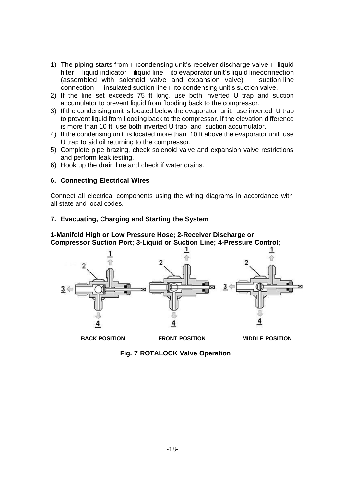- 1) The piping starts from  $\Box$ condensing unit's receiver discharge valve  $\Box$ liquid filter  $\Box$ liquid indicator  $\Box$ liquid line  $\Box$ to evaporator unit's liquid lineconnection (assembled with solenoid valve and expansion valve)  $\Box$  suction line connection  $\Box$ insulated suction line  $\Box$ to condensing unit's suction valve.
- 2) If the line set exceeds 75 ft long, use both inverted U trap and suction accumulator to prevent liquid from flooding back to the compressor.
- 3) If the condensing unit is located below the evaporator unit, use inverted U trap to prevent liquid from flooding back to the compressor. If the elevation difference is more than 10 ft, use both inverted U trap and suction accumulator.
- 4) If the condensing unit is located more than 10 ft above the evaporator unit, use U trap to aid oil returning to the compressor.
- 5) Complete pipe brazing, check solenoid valve and expansion valve restrictions and perform leak testing.
- 6) Hook up the drain line and check if water drains.

#### **6. Connecting Electrical Wires**

Connect all electrical components using the wiring diagrams in accordance with all state and local codes.

#### **7. Evacuating, Charging and Starting the System**

**1-Manifold High or Low Pressure Hose; 2-Receiver Discharge or Compressor Suction Port; 3-Liquid or Suction Line; 4-Pressure Control;**



**BACK POSITION FRONT POSITION MIDDLE POSITION**

**Fig. 7 ROTALOCK Valve Operation**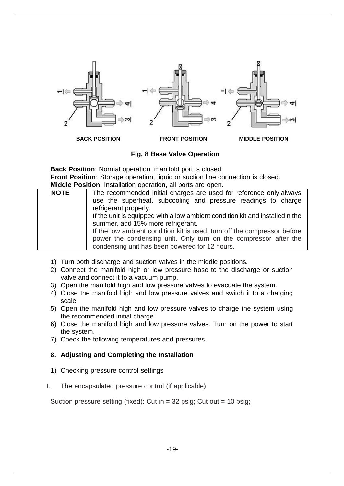

**Fig. 8 Base Valve Operation**

**Back Position**: Normal operation, manifold port is closed. **Front Position**: Storage operation, liquid or suction line connection is closed. **Middle Position**: Installation operation, all ports are open.

|             | <b>MIGGIO I CONTON.</b> MIGRARION OPCTONOM, ON PONS OFC OPCH.                 |  |  |  |  |  |
|-------------|-------------------------------------------------------------------------------|--|--|--|--|--|
| <b>NOTE</b> | The recommended initial charges are used for reference only, always           |  |  |  |  |  |
|             | use the superheat, subcooling and pressure readings to charge                 |  |  |  |  |  |
|             | refrigerant properly.                                                         |  |  |  |  |  |
|             | If the unit is equipped with a low ambient condition kit and installed in the |  |  |  |  |  |
|             | summer, add 15% more refrigerant.                                             |  |  |  |  |  |
|             | If the low ambient condition kit is used, turn off the compressor before      |  |  |  |  |  |
|             | power the condensing unit. Only turn on the compressor after the              |  |  |  |  |  |
|             | condensing unit has been powered for 12 hours.                                |  |  |  |  |  |

- 1) Turn both discharge and suction valves in the middle positions.
- 2) Connect the manifold high or low pressure hose to the discharge or suction valve and connect it to a vacuum pump.
- 3) Open the manifold high and low pressure valves to evacuate the system.
- 4) Close the manifold high and low pressure valves and switch it to a charging scale.
- 5) Open the manifold high and low pressure valves to charge the system using the recommended initial charge.
- 6) Close the manifold high and low pressure valves. Turn on the power to start the system.
- 7) Check the following temperatures and pressures.

#### **8. Adjusting and Completing the Installation**

- 1) Checking pressure control settings
- I. The encapsulated pressure control (if applicable)

Suction pressure setting (fixed): Cut in  $=$  32 psig; Cut out  $=$  10 psig;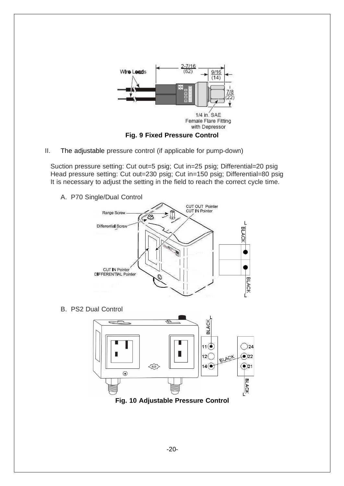

II. The adjustable pressure control (if applicable for pump-down)

Suction pressure setting: Cut out=5 psig; Cut in=25 psig; Differential=20 psig Head pressure setting: Cut out=230 psig; Cut in=150 psig; Differential=80 psig It is necessary to adjust the setting in the field to reach the correct cycle time.

A. P70 Single/Dual Control



B. PS2 Dual Control



**Fig. 10 Adjustable Pressure Control**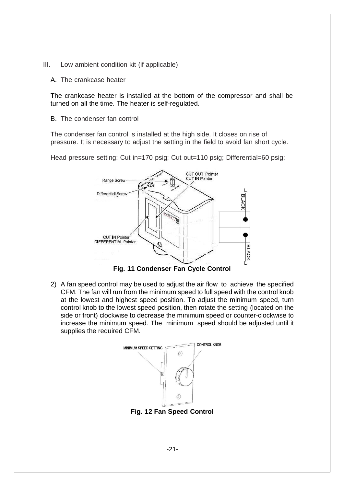- III. Low ambient condition kit (if applicable)
	- A. The crankcase heater

The crankcase heater is installed at the bottom of the compressor and shall be turned on all the time. The heater is self-regulated.

B. The condenser fan control

The condenser fan control is installed at the high side. It closes on rise of pressure. It is necessary to adjust the setting in the field to avoid fan short cycle.

Head pressure setting: Cut in=170 psig; Cut out=110 psig; Differential=60 psig;



**Fig. 11 Condenser Fan Cycle Control**

2) A fan speed control may be used to adjust the air flow to achieve the specified CFM. The fan will run from the minimum speed to full speed with the control knob at the lowest and highest speed position. To adjust the minimum speed, turn control knob to the lowest speed position, then rotate the setting (located on the side or front) clockwise to decrease the minimum speed or counter-clockwise to increase the minimum speed. The minimum speed should be adjusted until it supplies the required CFM.



**Fig. 12 Fan Speed Control**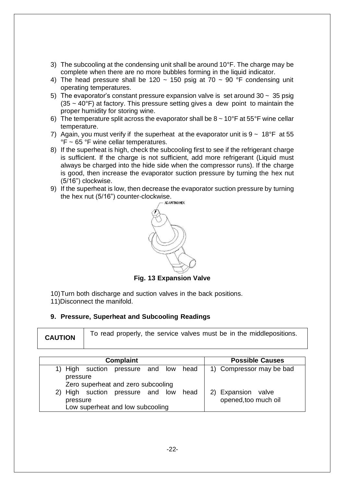- 3) The subcooling at the condensing unit shall be around  $10^{\circ}$ F. The charge may be complete when there are no more bubbles forming in the liquid indicator.
- 4) The head pressure shall be 120  $\sim$  150 psig at 70  $\sim$  90 °F condensing unit operating temperatures.
- 5) The evaporator's constant pressure expansion valve is set around  $30 \sim 35$  psig  $(35 \sim 40^{\circ}$ F) at factory. This pressure setting gives a dew point to maintain the proper humidity for storing wine.
- 6) The temperature split across the evaporator shall be  $8 \sim 10^{\circ}$ F at 55°F wine cellar temperature.
- 7) Again, you must verify if the superheat at the evaporator unit is  $9 \sim 18^{\circ}F$  at 55 °F ~ 65 °F wine cellar temperatures.
- 8) If the superheat is high, check the subcooling first to see if the refrigerant charge is sufficient. If the charge is not sufficient, add more refrigerant (Liquid must always be charged into the hide side when the compressor runs). If the charge is good, then increase the evaporator suction pressure by turning the hex nut (5/16") clockwise.
- 9) If the superheat is low, then decrease the evaporator suction pressure by turning the hex nut (5/16") counter-clockwise.<br>  $\overline{ }$



**Fig. 13 Expansion Valve**

10)Turn both discharge and suction valves in the back positions.

11)Disconnect the manifold.

#### **9. Pressure, Superheat and Subcooling Readings**

| <b>Complaint</b>                                                                   |  |  |  |      | <b>Possible Causes</b>                  |
|------------------------------------------------------------------------------------|--|--|--|------|-----------------------------------------|
| 1) High suction pressure and low<br>pressure<br>Zero superheat and zero subcooling |  |  |  | head | 1) Compressor may be bad                |
| 2) High suction pressure and low<br>pressure<br>Low superheat and low subcooling   |  |  |  | head | Expansion valve<br>opened, too much oil |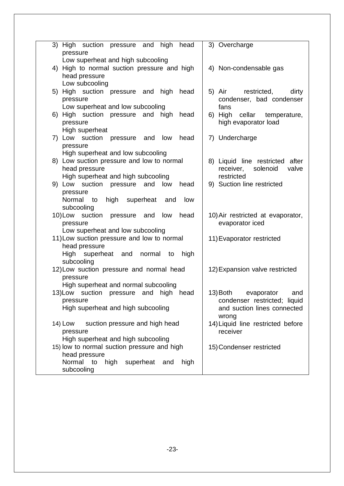| 3) High suction pressure and high<br>head<br>pressure | 3) Overcharge                     |
|-------------------------------------------------------|-----------------------------------|
| Low superheat and high subcooling                     |                                   |
| 4) High to normal suction pressure and high           | 4) Non-condensable gas            |
| head pressure                                         |                                   |
| Low subcooling                                        |                                   |
| 5) High suction pressure and high<br>head             | 5) Air<br>restricted,<br>dirty    |
|                                                       |                                   |
| pressure                                              | condenser, bad condenser          |
| Low superheat and low subcooling                      | fans                              |
| 6) High suction pressure and high<br>head             | 6) High cellar temperature,       |
| pressure                                              | high evaporator load              |
| High superheat                                        |                                   |
| 7) Low suction<br>pressure and low<br>head            | 7) Undercharge                    |
| pressure                                              |                                   |
| High superheat and low subcooling                     |                                   |
| 8) Low suction pressure and low to normal             | 8) Liquid line restricted after   |
| head pressure                                         | solenoid<br>valve<br>receiver,    |
| High superheat and high subcooling                    | restricted                        |
| 9) Low suction pressure and low<br>head               | 9) Suction line restricted        |
|                                                       |                                   |
| pressure                                              |                                   |
| Normal<br>high superheat<br>and<br>low<br>to          |                                   |
| subcooling                                            |                                   |
| low<br>10)Low suction<br>pressure and<br>head         | 10) Air restricted at evaporator, |
| pressure                                              | evaporator iced                   |
| Low superheat and low subcooling                      |                                   |
| 11) Low suction pressure and low to normal            | 11) Evaporator restricted         |
| head pressure                                         |                                   |
| High superheat and normal<br>high<br>to               |                                   |
| subcooling                                            |                                   |
| 12) Low suction pressure and normal head              | 12) Expansion valve restricted    |
| pressure                                              |                                   |
| High superheat and normal subcooling                  |                                   |
|                                                       | 13) Both<br>evaporator<br>and     |
| 13) Low suction pressure and high head                |                                   |
| pressure                                              | condenser restricted; liquid      |
| High superheat and high subcooling                    | and suction lines connected       |
|                                                       | wrong                             |
| 14) Low suction pressure and high head                | 14) Liquid line restricted before |
| pressure                                              | receiver                          |
| High superheat and high subcooling                    |                                   |
| 15) low to normal suction pressure and high           | 15) Condenser restricted          |
| head pressure                                         |                                   |
| Normal to<br>superheat and<br>high<br>high            |                                   |
| subcooling                                            |                                   |
|                                                       |                                   |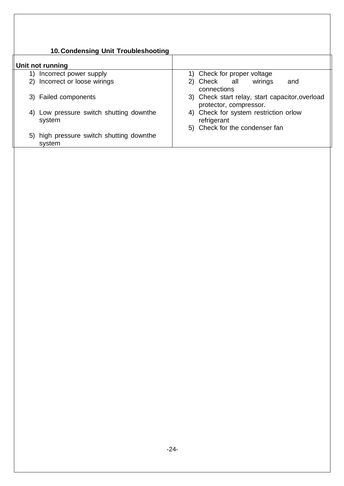#### **10.Condensing Unit Troubleshooting**

| Unit not running                                     |                                                                           |
|------------------------------------------------------|---------------------------------------------------------------------------|
| Incorrect power supply<br>1)                         | 1) Check for proper voltage                                               |
| 2) Incorrect or loose wirings                        | wirings<br>2) Check all<br>and<br>connections                             |
| 3) Failed components                                 | 3) Check start relay, start capacitor, overload<br>protector, compressor. |
| Low pressure switch shutting downthe<br>4)<br>system | 4) Check for system restriction orlow<br>refrigerant                      |
| 5) high pressure switch shutting downthe<br>system   | 5) Check for the condenser fan                                            |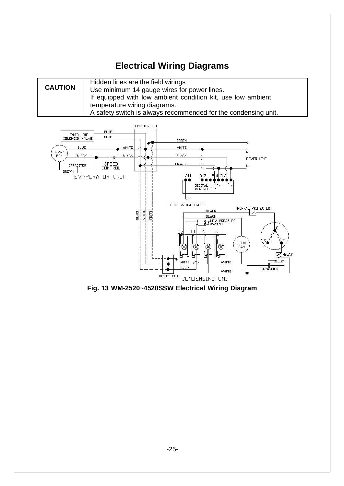## **Electrical Wiring Diagrams**

|                                                               | Hidden lines are the field wirings                             |  |  |  |
|---------------------------------------------------------------|----------------------------------------------------------------|--|--|--|
| <b>CAUTION</b><br>Use minimum 14 gauge wires for power lines. |                                                                |  |  |  |
|                                                               | If equipped with low ambient condition kit, use low ambient    |  |  |  |
|                                                               | temperature wiring diagrams.                                   |  |  |  |
|                                                               | A safety switch is always recommended for the condensing unit. |  |  |  |



**Fig. 13 WM-2520~4520SSW Electrical Wiring Diagram**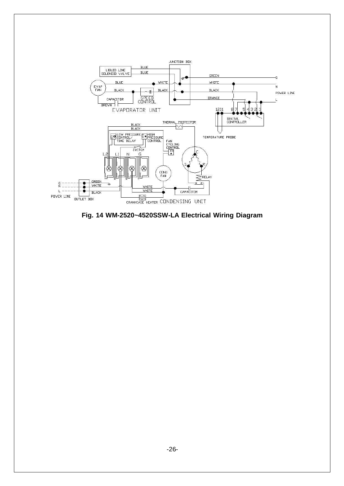

**Fig. 14 WM-2520~4520SSW-LA Electrical Wiring Diagram**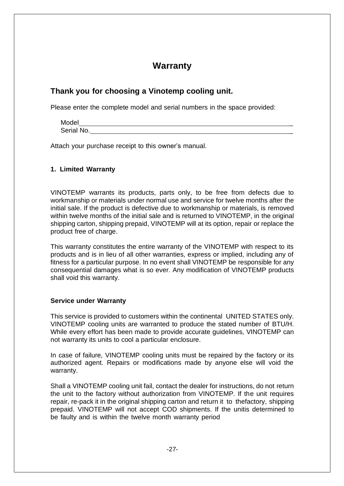### **Warranty**

#### **Thank you for choosing a Vinotemp cooling unit.**

Please enter the complete model and serial numbers in the space provided:

Model \_ Serial No.

Attach your purchase receipt to this owner's manual.

#### **1. Limited Warranty**

VINOTEMP warrants its products, parts only, to be free from defects due to workmanship or materials under normal use and service for twelve months after the initial sale. If the product is defective due to workmanship or materials, is removed within twelve months of the initial sale and is returned to VINOTEMP, in the original shipping carton, shipping prepaid, VINOTEMP will at its option, repair or replace the product free of charge.

This warranty constitutes the entire warranty of the VINOTEMP with respect to its products and is in lieu of all other warranties, express or implied, including any of fitness for a particular purpose. In no event shall VINOTEMP be responsible for any consequential damages what is so ever. Any modification of VINOTEMP products shall void this warranty.

#### **Service under Warranty**

This service is provided to customers within the continental UNITED STATES only. VINOTEMP cooling units are warranted to produce the stated number of BTU/H. While every effort has been made to provide accurate guidelines, VINOTEMP can not warranty its units to cool a particular enclosure.

In case of failure, VINOTEMP cooling units must be repaired by the factory or its authorized agent. Repairs or modifications made by anyone else will void the warranty.

Shall a VINOTEMP cooling unit fail, contact the dealer for instructions, do not return the unit to the factory without authorization from VINOTEMP. If the unit requires repair, re-pack it in the original shipping carton and return it to thefactory, shipping prepaid. VINOTEMP will not accept COD shipments. If the unitis determined to be faulty and is within the twelve month warranty period